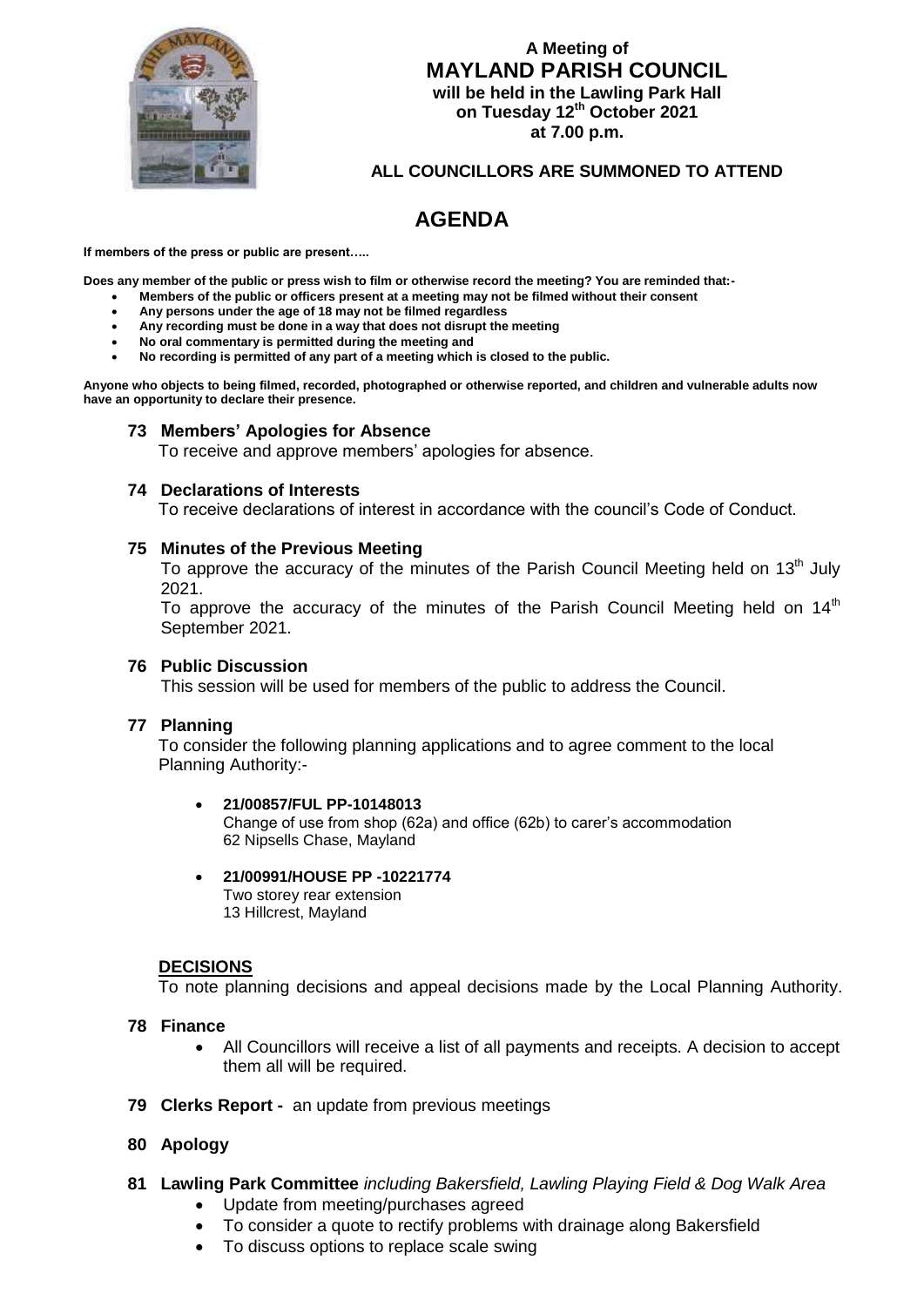

# **A Meeting of MAYLAND PARISH COUNCIL will be held in the Lawling Park Hall on Tuesday 12th October 2021 at 7.00 p.m.**

## **ALL COUNCILLORS ARE SUMMONED TO ATTEND**

# **AGENDA**

**If members of the press or public are present…..**

**Does any member of the public or press wish to film or otherwise record the meeting? You are reminded that:-**

- **Members of the public or officers present at a meeting may not be filmed without their consent**
- **Any persons under the age of 18 may not be filmed regardless**
- **Any recording must be done in a way that does not disrupt the meeting**
- **No oral commentary is permitted during the meeting and**
- **No recording is permitted of any part of a meeting which is closed to the public.**

**Anyone who objects to being filmed, recorded, photographed or otherwise reported, and children and vulnerable adults now have an opportunity to declare their presence.**

### **73 Members' Apologies for Absence**

To receive and approve members' apologies for absence.

#### **74 Declarations of Interests**

To receive declarations of interest in accordance with the council's Code of Conduct.

#### **75 Minutes of the Previous Meeting**

To approve the accuracy of the minutes of the Parish Council Meeting held on 13<sup>th</sup> July 2021.

To approve the accuracy of the minutes of the Parish Council Meeting held on  $14<sup>th</sup>$ September 2021.

#### **76 Public Discussion**

This session will be used for members of the public to address the Council.

#### **77 Planning**

 To consider the following planning applications and to agree comment to the local Planning Authority:-

#### **21/00857/FUL PP-10148013**

Change of use from shop (62a) and office (62b) to carer's accommodation 62 Nipsells Chase, Mayland

#### **21/00991/HOUSE PP -10221774**

Two storey rear extension 13 Hillcrest, Mayland

## **DECISIONS**

To note planning decisions and appeal decisions made by the Local Planning Authority.

#### **78 Finance**

- All Councillors will receive a list of all payments and receipts. A decision to accept them all will be required.
- **79 Clerks Report** an update from previous meetings

## **80 Apology**

- **81 Lawling Park Committee** *including Bakersfield, Lawling Playing Field & Dog Walk Area*
	- Update from meeting/purchases agreed
	- To consider a quote to rectify problems with drainage along Bakersfield
	- To discuss options to replace scale swing